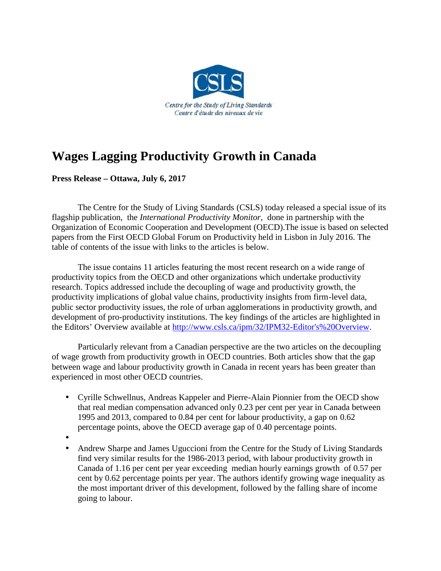

# **Wages Lagging Productivity Growth in Canada**

**Press Release – Ottawa, July 6, 2017**

The Centre for the Study of Living Standards (CSLS) today released a special issue of its flagship publication, the *International Productivity Monitor,* done in partnership with the Organization of Economic Cooperation and Development (OECD).The issue is based on selected papers from the First OECD Global Forum on Productivity held in Lisbon in July 2016. The table of contents of the issue with links to the articles is below.

The issue contains 11 articles featuring the most recent research on a wide range of productivity topics from the OECD and other organizations which undertake productivity research. Topics addressed include the decoupling of wage and productivity growth, the productivity implications of global value chains, productivity insights from firm-level data, public sector productivity issues, the role of urban agglomerations in productivity growth, and development of pro-productivity institutions. The key findings of the articles are highlighted in the Editors' Overview available at http://www.csls.ca/ipm/32/IPM32-Editor's%20Overview.

Particularly relevant from a Canadian perspective are the two articles on the decoupling of wage growth from productivity growth in OECD countries. Both articles show that the gap between wage and labour productivity growth in Canada in recent years has been greater than experienced in most other OECD countries.

- Cyrille Schwellnus, Andreas Kappeler and Pierre-Alain Pionnier from the OECD show that real median compensation advanced only 0.23 per cent per year in Canada between 1995 and 2013, compared to 0.84 per cent for labour productivity, a gap on 0.62 percentage points, above the OECD average gap of 0.40 percentage points.
- $\bullet$
- Andrew Sharpe and James Uguccioni from the Centre for the Study of Living Standards find very similar results for the 1986-2013 period, with labour productivity growth in Canada of 1.16 per cent per year exceeding median hourly earnings growth of 0.57 per cent by 0.62 percentage points per year. The authors identify growing wage inequality as the most important driver of this development, followed by the falling share of income going to labour.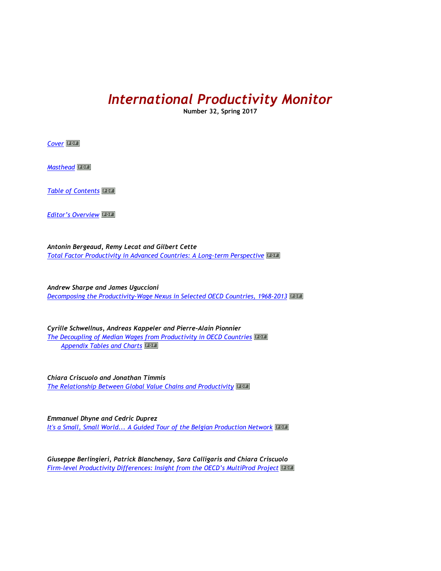## *International Productivity Monitor*

**Number 32, Spring 2017**

*Cover*

*Masthead*

*Table of Contents*

*Editor's Overview*

*Antonin Bergeaud, Remy Lecat and Gilbert Cette Total Factor Productivity in Advanced Countries: A Long-term Perspective*

*Andrew Sharpe and James Uguccioni Decomposing the Productivity-Wage Nexus in Selected OECD Countries, 1968-2013*

*Cyrille Schwellnus, Andreas Kappeler and Pierre-Alain Pionnier The Decoupling of Median Wages from Productivity in OECD Countries Appendix Tables and Charts*

*Chiara Criscuolo and Jonathan Timmis The Relationship Between Global Value Chains and Productivity*

*Emmanuel Dhyne and Cedric Duprez It's a Small, Small World... A Guided Tour of the Belgian Production Network*

*Giuseppe Berlingieri, Patrick Blanchenay, Sara Calligaris and Chiara Criscuolo Firm-level Productivity Differences: Insight from the OECD's MultiProd Project*